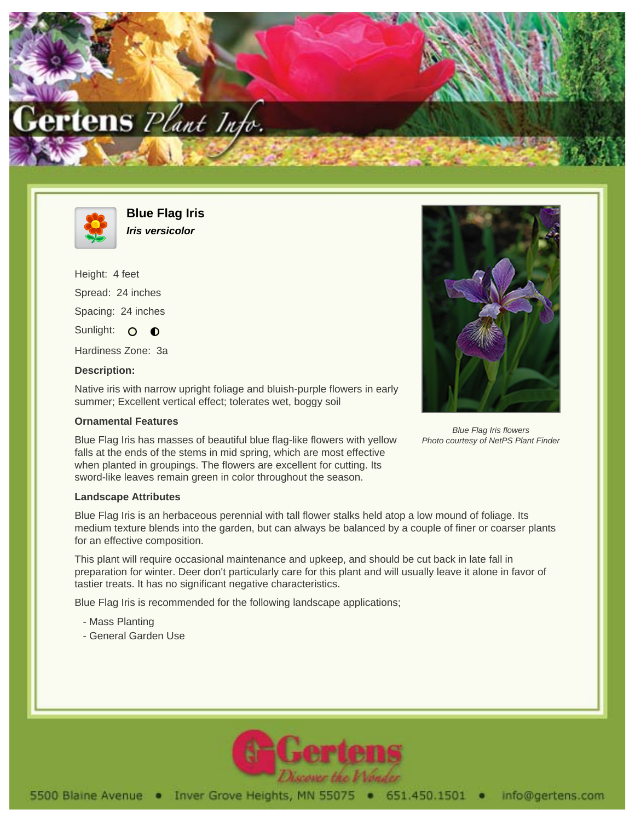



**Blue Flag Iris Iris versicolor**

Height: 4 feet Spread: 24 inches Spacing: 24 inches Sunlight: O O Hardiness Zone: 3a

## **Description:**

Native iris with narrow upright foliage and bluish-purple flowers in early summer; Excellent vertical effect; tolerates wet, boggy soil

## **Ornamental Features**

Blue Flag Iris has masses of beautiful blue flag-like flowers with yellow falls at the ends of the stems in mid spring, which are most effective when planted in groupings. The flowers are excellent for cutting. Its sword-like leaves remain green in color throughout the season.

## **Landscape Attributes**

Blue Flag Iris is an herbaceous perennial with tall flower stalks held atop a low mound of foliage. Its medium texture blends into the garden, but can always be balanced by a couple of finer or coarser plants for an effective composition.

This plant will require occasional maintenance and upkeep, and should be cut back in late fall in preparation for winter. Deer don't particularly care for this plant and will usually leave it alone in favor of tastier treats. It has no significant negative characteristics.

Blue Flag Iris is recommended for the following landscape applications;

- Mass Planting
- General Garden Use



Blue Flag Iris flowers Photo courtesy of NetPS Plant Finder